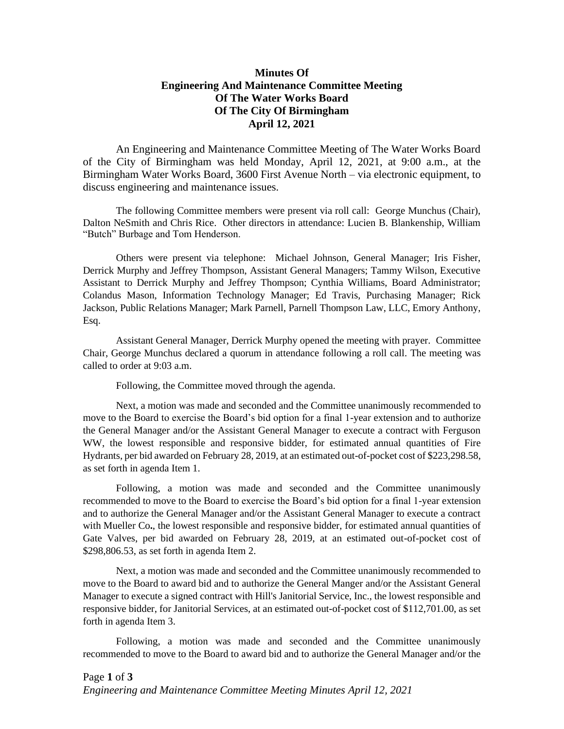## **Minutes Of Engineering And Maintenance Committee Meeting Of The Water Works Board Of The City Of Birmingham April 12, 2021**

An Engineering and Maintenance Committee Meeting of The Water Works Board of the City of Birmingham was held Monday, April 12, 2021, at 9:00 a.m., at the Birmingham Water Works Board, 3600 First Avenue North – via electronic equipment, to discuss engineering and maintenance issues.

The following Committee members were present via roll call: George Munchus (Chair), Dalton NeSmith and Chris Rice. Other directors in attendance: Lucien B. Blankenship, William "Butch" Burbage and Tom Henderson.

Others were present via telephone: Michael Johnson, General Manager; Iris Fisher, Derrick Murphy and Jeffrey Thompson, Assistant General Managers; Tammy Wilson, Executive Assistant to Derrick Murphy and Jeffrey Thompson; Cynthia Williams, Board Administrator; Colandus Mason, Information Technology Manager; Ed Travis, Purchasing Manager; Rick Jackson, Public Relations Manager; Mark Parnell, Parnell Thompson Law, LLC, Emory Anthony, Esq.

Assistant General Manager, Derrick Murphy opened the meeting with prayer. Committee Chair, George Munchus declared a quorum in attendance following a roll call. The meeting was called to order at 9:03 a.m.

Following, the Committee moved through the agenda.

Next, a motion was made and seconded and the Committee unanimously recommended to move to the Board to exercise the Board's bid option for a final 1-year extension and to authorize the General Manager and/or the Assistant General Manager to execute a contract with Ferguson WW, the lowest responsible and responsive bidder, for estimated annual quantities of Fire Hydrants, per bid awarded on February 28, 2019, at an estimated out-of-pocket cost of \$223,298.58, as set forth in agenda Item 1.

Following, a motion was made and seconded and the Committee unanimously recommended to move to the Board to exercise the Board's bid option for a final 1-year extension and to authorize the General Manager and/or the Assistant General Manager to execute a contract with Mueller Co**.**, the lowest responsible and responsive bidder, for estimated annual quantities of Gate Valves, per bid awarded on February 28, 2019, at an estimated out-of-pocket cost of \$298,806.53, as set forth in agenda Item 2.

Next, a motion was made and seconded and the Committee unanimously recommended to move to the Board to award bid and to authorize the General Manger and/or the Assistant General Manager to execute a signed contract with Hill's Janitorial Service, Inc., the lowest responsible and responsive bidder, for Janitorial Services, at an estimated out-of-pocket cost of \$112,701.00, as set forth in agenda Item 3.

Following, a motion was made and seconded and the Committee unanimously recommended to move to the Board to award bid and to authorize the General Manager and/or the

## Page **1** of **3** *Engineering and Maintenance Committee Meeting Minutes April 12, 2021*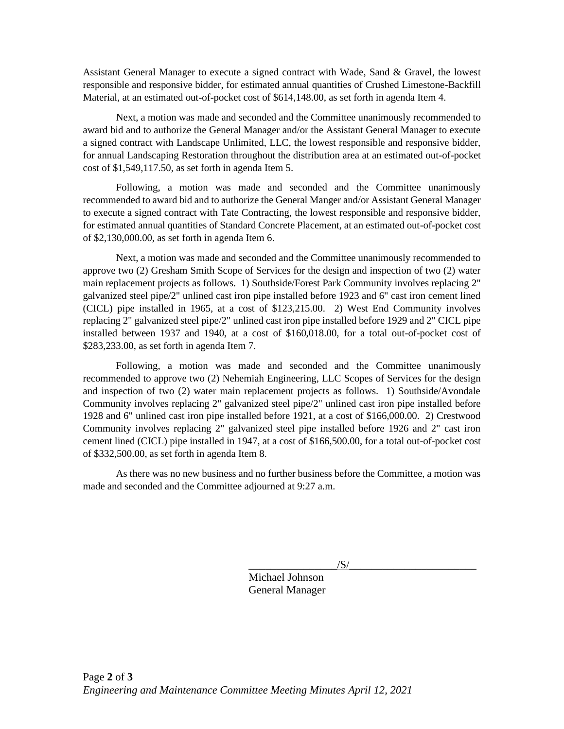Assistant General Manager to execute a signed contract with Wade, Sand & Gravel, the lowest responsible and responsive bidder, for estimated annual quantities of Crushed Limestone-Backfill Material, at an estimated out-of-pocket cost of \$614,148.00, as set forth in agenda Item 4.

Next, a motion was made and seconded and the Committee unanimously recommended to award bid and to authorize the General Manager and/or the Assistant General Manager to execute a signed contract with Landscape Unlimited, LLC, the lowest responsible and responsive bidder, for annual Landscaping Restoration throughout the distribution area at an estimated out-of-pocket cost of \$1,549,117.50, as set forth in agenda Item 5.

Following, a motion was made and seconded and the Committee unanimously recommended to award bid and to authorize the General Manger and/or Assistant General Manager to execute a signed contract with Tate Contracting, the lowest responsible and responsive bidder, for estimated annual quantities of Standard Concrete Placement, at an estimated out-of-pocket cost of \$2,130,000.00, as set forth in agenda Item 6.

Next, a motion was made and seconded and the Committee unanimously recommended to approve two (2) Gresham Smith Scope of Services for the design and inspection of two (2) water main replacement projects as follows. 1) Southside/Forest Park Community involves replacing 2" galvanized steel pipe/2" unlined cast iron pipe installed before 1923 and 6" cast iron cement lined (CICL) pipe installed in 1965, at a cost of \$123,215.00. 2) West End Community involves replacing 2" galvanized steel pipe/2" unlined cast iron pipe installed before 1929 and 2" CICL pipe installed between 1937 and 1940, at a cost of \$160,018.00, for a total out-of-pocket cost of \$283,233.00, as set forth in agenda Item 7.

Following, a motion was made and seconded and the Committee unanimously recommended to approve two (2) Nehemiah Engineering, LLC Scopes of Services for the design and inspection of two (2) water main replacement projects as follows. 1) Southside/Avondale Community involves replacing 2" galvanized steel pipe/2" unlined cast iron pipe installed before 1928 and 6" unlined cast iron pipe installed before 1921, at a cost of \$166,000.00. 2) Crestwood Community involves replacing 2" galvanized steel pipe installed before 1926 and 2" cast iron cement lined (CICL) pipe installed in 1947, at a cost of \$166,500.00, for a total out-of-pocket cost of \$332,500.00, as set forth in agenda Item 8.

As there was no new business and no further business before the Committee, a motion was made and seconded and the Committee adjourned at 9:27 a.m.

 $\sqrt{S/}$ 

Michael Johnson General Manager